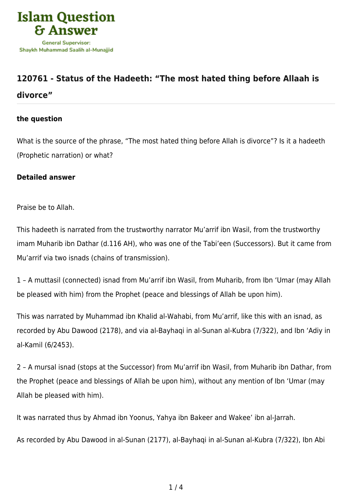

## **[120761 - Status of the Hadeeth: "The most hated thing before Allaah is](https://islamqa.com/en/answers/120761/status-of-the-hadeeth-the-most-hated-thing-before-allaah-is-divorce) [divorce"](https://islamqa.com/en/answers/120761/status-of-the-hadeeth-the-most-hated-thing-before-allaah-is-divorce)**

## **the question**

What is the source of the phrase, "The most hated thing before Allah is divorce"? Is it a hadeeth (Prophetic narration) or what?

## **Detailed answer**

Praise be to Allah.

This hadeeth is narrated from the trustworthy narrator Mu'arrif ibn Wasil, from the trustworthy imam Muharib ibn Dathar (d.116 AH), who was one of the Tabi'een (Successors). But it came from Mu'arrif via two isnads (chains of transmission).

1 – A muttasil (connected) isnad from Mu'arrif ibn Wasil, from Muharib, from Ibn 'Umar (may Allah be pleased with him) from the Prophet (peace and blessings of Allah be upon him).

This was narrated by Muhammad ibn Khalid al-Wahabi, from Mu'arrif, like this with an isnad, as recorded by Abu Dawood (2178), and via al-Bayhaqi in al-Sunan al-Kubra (7/322), and Ibn 'Adiy in al-Kamil (6/2453).

2 – A mursal isnad (stops at the Successor) from Mu'arrif ibn Wasil, from Muharib ibn Dathar, from the Prophet (peace and blessings of Allah be upon him), without any mention of Ibn 'Umar (may Allah be pleased with him).

It was narrated thus by Ahmad ibn Yoonus, Yahya ibn Bakeer and Wakee' ibn al-Jarrah.

As recorded by Abu Dawood in al-Sunan (2177), al-Bayhaqi in al-Sunan al-Kubra (7/322), Ibn Abi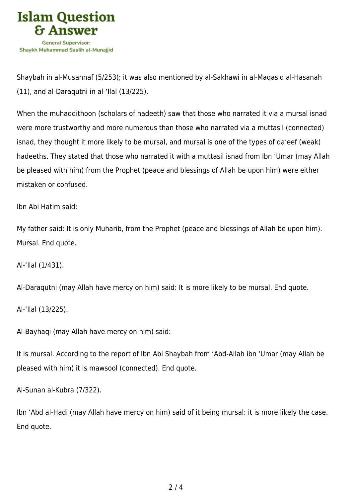

Shaybah in al-Musannaf (5/253); it was also mentioned by al-Sakhawi in al-Maqasid al-Hasanah (11), and al-Daraqutni in al-'Ilal (13/225).

When the muhaddithoon (scholars of hadeeth) saw that those who narrated it via a mursal isnad were more trustworthy and more numerous than those who narrated via a muttasil (connected) isnad, they thought it more likely to be mursal, and mursal is one of the types of da'eef (weak) hadeeths. They stated that those who narrated it with a muttasil isnad from Ibn 'Umar (may Allah be pleased with him) from the Prophet (peace and blessings of Allah be upon him) were either mistaken or confused.

Ibn Abi Hatim said:

My father said: It is only Muharib, from the Prophet (peace and blessings of Allah be upon him). Mursal. End quote.

Al-'Ilal (1/431).

Al-Daraqutni (may Allah have mercy on him) said: It is more likely to be mursal. End quote.

Al-'Ilal (13/225).

Al-Bayhaqi (may Allah have mercy on him) said:

It is mursal. According to the report of Ibn Abi Shaybah from 'Abd-Allah ibn 'Umar (may Allah be pleased with him) it is mawsool (connected). End quote.

Al-Sunan al-Kubra (7/322).

Ibn 'Abd al-Hadi (may Allah have mercy on him) said of it being mursal: it is more likely the case. End quote.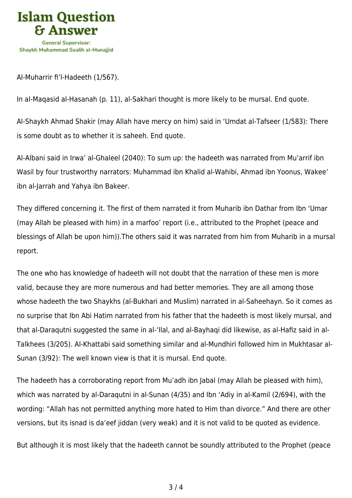

Al-Muharrir fi'l-Hadeeth (1/567).

In al-Maqasid al-Hasanah (p. 11), al-Sakhari thought is more likely to be mursal. End quote.

Al-Shaykh Ahmad Shakir (may Allah have mercy on him) said in 'Umdat al-Tafseer (1/583): There is some doubt as to whether it is saheeh. End quote.

Al-Albani said in Irwa' al-Ghaleel (2040): To sum up: the hadeeth was narrated from Mu'arrif ibn Wasil by four trustworthy narrators: Muhammad ibn Khalid al-Wahibi, Ahmad ibn Yoonus, Wakee' ibn al-Jarrah and Yahya ibn Bakeer.

They differed concerning it. The first of them narrated it from Muharib ibn Dathar from Ibn 'Umar (may Allah be pleased with him) in a marfoo' report (i.e., attributed to the Prophet (peace and blessings of Allah be upon him)).The others said it was narrated from him from Muharib in a mursal report.

The one who has knowledge of hadeeth will not doubt that the narration of these men is more valid, because they are more numerous and had better memories. They are all among those whose hadeeth the two Shaykhs (al-Bukhari and Muslim) narrated in al-Saheehayn. So it comes as no surprise that Ibn Abi Hatim narrated from his father that the hadeeth is most likely mursal, and that al-Daraqutni suggested the same in al-'Ilal, and al-Bayhaqi did likewise, as al-Hafiz said in al-Talkhees (3/205). Al-Khattabi said something similar and al-Mundhiri followed him in Mukhtasar al-Sunan (3/92): The well known view is that it is mursal. End quote.

The hadeeth has a corroborating report from Mu'adh ibn Jabal (may Allah be pleased with him), which was narrated by al-Daraqutni in al-Sunan (4/35) and Ibn 'Adiy in al-Kamil (2/694), with the wording: "Allah has not permitted anything more hated to Him than divorce." And there are other versions, but its isnad is da'eef jiddan (very weak) and it is not valid to be quoted as evidence.

But although it is most likely that the hadeeth cannot be soundly attributed to the Prophet (peace